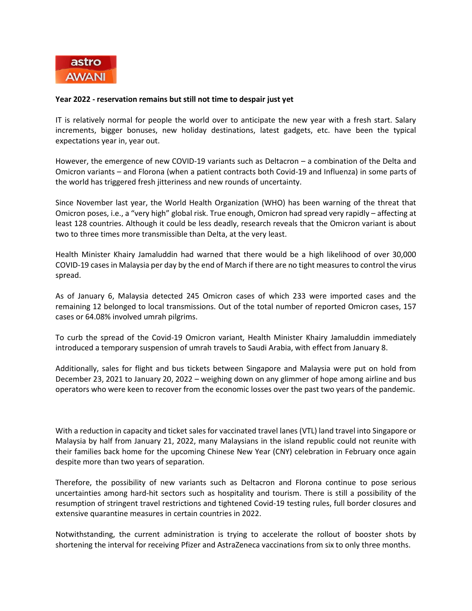

## **Year 2022 - reservation remains but still not time to despair just yet**

IT is relatively normal for people the world over to anticipate the new year with a fresh start. Salary increments, bigger bonuses, new holiday destinations, latest gadgets, etc. have been the typical expectations year in, year out.

However, the emergence of new COVID-19 variants such as Deltacron – a combination of the Delta and Omicron variants – and Florona (when a patient contracts both Covid-19 and Influenza) in some parts of the world has triggered fresh jitteriness and new rounds of uncertainty.

Since November last year, the World Health Organization (WHO) has been warning of the threat that Omicron poses, i.e., a "very high" global risk. True enough, Omicron had spread very rapidly – affecting at least 128 countries. Although it could be less deadly, research reveals that the Omicron variant is about two to three times more transmissible than Delta, at the very least.

Health Minister Khairy Jamaluddin had warned that there would be a high likelihood of over 30,000 COVID-19 cases in Malaysia per day by the end of March if there are no tight measures to control the virus spread.

As of January 6, Malaysia detected 245 Omicron cases of which 233 were imported cases and the remaining 12 belonged to local transmissions. Out of the total number of reported Omicron cases, 157 cases or 64.08% involved umrah pilgrims.

To curb the spread of the Covid-19 Omicron variant, Health Minister Khairy Jamaluddin immediately introduced a temporary suspension of umrah travels to Saudi Arabia, with effect from January 8.

Additionally, sales for flight and bus tickets between Singapore and Malaysia were put on hold from December 23, 2021 to January 20, 2022 – weighing down on any glimmer of hope among airline and bus operators who were keen to recover from the economic losses over the past two years of the pandemic.

With a reduction in capacity and ticket sales for vaccinated travel lanes (VTL) land travel into Singapore or Malaysia by half from January 21, 2022, many Malaysians in the island republic could not reunite with their families back home for the upcoming Chinese New Year (CNY) celebration in February once again despite more than two years of separation.

Therefore, the possibility of new variants such as Deltacron and Florona continue to pose serious uncertainties among hard-hit sectors such as hospitality and tourism. There is still a possibility of the resumption of stringent travel restrictions and tightened Covid-19 testing rules, full border closures and extensive quarantine measures in certain countries in 2022.

Notwithstanding, the current administration is trying to accelerate the rollout of booster shots by shortening the interval for receiving Pfizer and AstraZeneca vaccinations from six to only three months.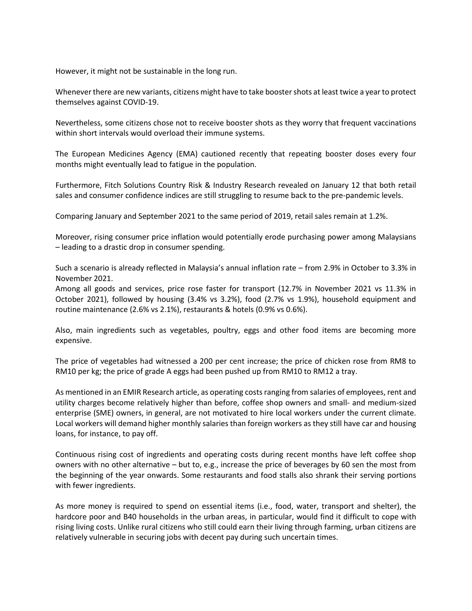However, it might not be sustainable in the long run.

Whenever there are new variants, citizens might have to take booster shots at least twice a year to protect themselves against COVID-19.

Nevertheless, some citizens chose not to receive booster shots as they worry that frequent vaccinations within short intervals would overload their immune systems.

The European Medicines Agency (EMA) cautioned recently that repeating booster doses every four months might eventually lead to fatigue in the population.

Furthermore, Fitch Solutions Country Risk & Industry Research revealed on January 12 that both retail sales and consumer confidence indices are still struggling to resume back to the pre-pandemic levels.

Comparing January and September 2021 to the same period of 2019, retail sales remain at 1.2%.

Moreover, rising consumer price inflation would potentially erode purchasing power among Malaysians – leading to a drastic drop in consumer spending.

Such a scenario is already reflected in Malaysia's annual inflation rate – from 2.9% in October to 3.3% in November 2021.

Among all goods and services, price rose faster for transport (12.7% in November 2021 vs 11.3% in October 2021), followed by housing (3.4% vs 3.2%), food (2.7% vs 1.9%), household equipment and routine maintenance (2.6% vs 2.1%), restaurants & hotels (0.9% vs 0.6%).

Also, main ingredients such as vegetables, poultry, eggs and other food items are becoming more expensive.

The price of vegetables had witnessed a 200 per cent increase; the price of chicken rose from RM8 to RM10 per kg; the price of grade A eggs had been pushed up from RM10 to RM12 a tray.

As mentioned in an EMIR Research article, as operating costs ranging from salaries of employees, rent and utility charges become relatively higher than before, coffee shop owners and small- and medium-sized enterprise (SME) owners, in general, are not motivated to hire local workers under the current climate. Local workers will demand higher monthly salaries than foreign workers as they still have car and housing loans, for instance, to pay off.

Continuous rising cost of ingredients and operating costs during recent months have left coffee shop owners with no other alternative – but to, e.g., increase the price of beverages by 60 sen the most from the beginning of the year onwards. Some restaurants and food stalls also shrank their serving portions with fewer ingredients.

As more money is required to spend on essential items (i.e., food, water, transport and shelter), the hardcore poor and B40 households in the urban areas, in particular, would find it difficult to cope with rising living costs. Unlike rural citizens who still could earn their living through farming, urban citizens are relatively vulnerable in securing jobs with decent pay during such uncertain times.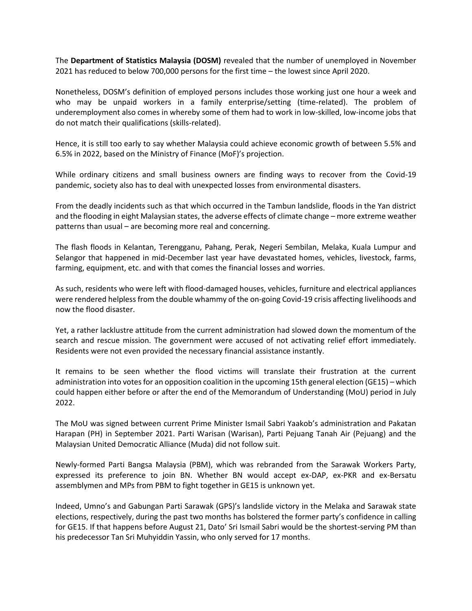The **Department of Statistics Malaysia (DOSM)** revealed that the number of unemployed in November 2021 has reduced to below 700,000 persons for the first time – the lowest since April 2020.

Nonetheless, DOSM's definition of employed persons includes those working just one hour a week and who may be unpaid workers in a family enterprise/setting (time-related). The problem of underemployment also comes in whereby some of them had to work in low-skilled, low-income jobs that do not match their qualifications (skills-related).

Hence, it is still too early to say whether Malaysia could achieve economic growth of between 5.5% and 6.5% in 2022, based on the Ministry of Finance (MoF)'s projection.

While ordinary citizens and small business owners are finding ways to recover from the Covid-19 pandemic, society also has to deal with unexpected losses from environmental disasters.

From the deadly incidents such as that which occurred in the Tambun landslide, floods in the Yan district and the flooding in eight Malaysian states, the adverse effects of climate change – more extreme weather patterns than usual – are becoming more real and concerning.

The flash floods in Kelantan, Terengganu, Pahang, Perak, Negeri Sembilan, Melaka, Kuala Lumpur and Selangor that happened in mid-December last year have devastated homes, vehicles, livestock, farms, farming, equipment, etc. and with that comes the financial losses and worries.

As such, residents who were left with flood-damaged houses, vehicles, furniture and electrical appliances were rendered helpless from the double whammy of the on-going Covid-19 crisis affecting livelihoods and now the flood disaster.

Yet, a rather lacklustre attitude from the current administration had slowed down the momentum of the search and rescue mission. The government were accused of not activating relief effort immediately. Residents were not even provided the necessary financial assistance instantly.

It remains to be seen whether the flood victims will translate their frustration at the current administration into votes for an opposition coalition in the upcoming 15th general election (GE15) – which could happen either before or after the end of the Memorandum of Understanding (MoU) period in July 2022.

The MoU was signed between current Prime Minister Ismail Sabri Yaakob's administration and Pakatan Harapan (PH) in September 2021. Parti Warisan (Warisan), Parti Pejuang Tanah Air (Pejuang) and the Malaysian United Democratic Alliance (Muda) did not follow suit.

Newly-formed Parti Bangsa Malaysia (PBM), which was rebranded from the Sarawak Workers Party, expressed its preference to join BN. Whether BN would accept ex-DAP, ex-PKR and ex-Bersatu assemblymen and MPs from PBM to fight together in GE15 is unknown yet.

Indeed, Umno's and Gabungan Parti Sarawak (GPS)'s landslide victory in the Melaka and Sarawak state elections, respectively, during the past two months has bolstered the former party's confidence in calling for GE15. If that happens before August 21, Dato' Sri Ismail Sabri would be the shortest-serving PM than his predecessor Tan Sri Muhyiddin Yassin, who only served for 17 months.